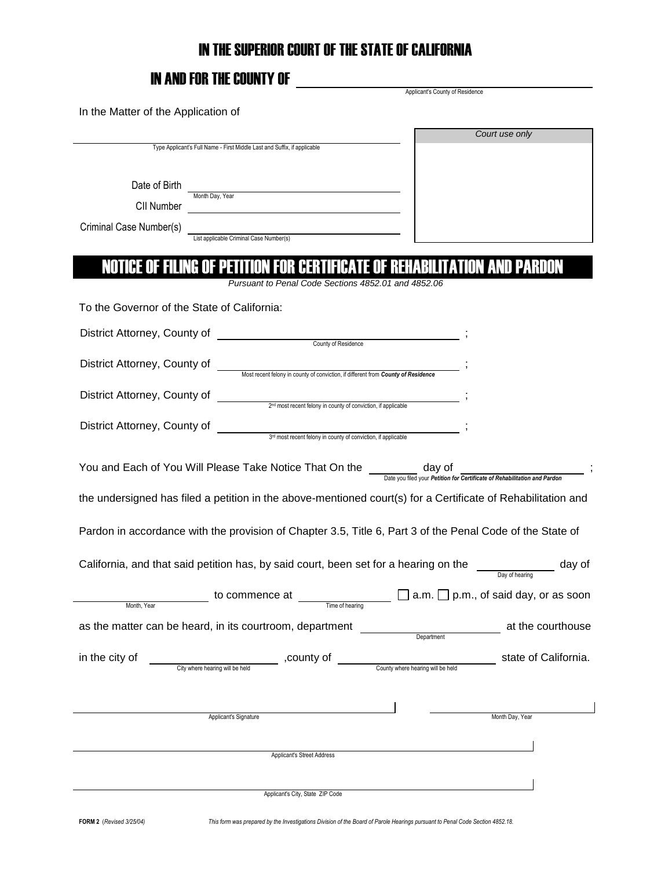### IN THE SUPERIOR COURT OF THE STATE OF CALIFORNIA

# IN AND FOR THE COUNTY OF  $\frac{1}{\frac{1}{2} \sum_{\text{Applicants } \text{County of Residence}}$

| In the Matter of the Application of                                                                                                      |                                                           |
|------------------------------------------------------------------------------------------------------------------------------------------|-----------------------------------------------------------|
| Type Applicant's Full Name - First Middle Last and Suffix, if applicable                                                                 | Court use only                                            |
| Date of Birth<br>Month Day, Year<br>CII Number<br><u> 1980 - Jan Stein Stein, fransk politik (f. 1980)</u>                               |                                                           |
| Criminal Case Number(s)<br>List applicable Criminal Case Number(s)<br>Site applicable Criminal Case Number(s)                            |                                                           |
| NOTICE OF FILING OF PETITION FOR CERTIFICATE OF REHABILITATION AND PARDON<br>Pursuant to Penal Code Sections 4852.01 and 4852.06         |                                                           |
| To the Governor of the State of California:                                                                                              |                                                           |
|                                                                                                                                          |                                                           |
| District Attorney, County of<br>Most recent felony in county of conviction, if different from County of Residence                        |                                                           |
| 2 <sup>nd</sup> most recent felony in county of conviction, if applicable<br>District Attorney, County of                                |                                                           |
| District Attorney, County of<br>$3d$ most recent felony in county of conviction, if applicable                                           |                                                           |
| You and Each of You Will Please Take Notice That On the <u>Sate you filed your Petition</u> for Certificate of Rehabilitation and Pardon |                                                           |
| the undersigned has filed a petition in the above-mentioned court(s) for a Certificate of Rehabilitation and                             |                                                           |
| Pardon in accordance with the provision of Chapter 3.5, Title 6, Part 3 of the Penal Code of the State of                                |                                                           |
| California, and that said petition has, by said court, been set for a hearing on the                                                     | <b>Example 2</b> day of<br>Day of hearing                 |
| to commence at<br>Time of hearing<br>Month, Year                                                                                         | $\Box$ a.m. $\Box$ p.m., of said day, or as soon          |
| as the matter can be heard, in its courtroom, department                                                                                 | at the courthouse<br><u>Department</u>                    |
| in the city of<br>COUNTY Of City where hearing will be held , COUNTY Of                                                                  | state of California.<br>County where hearing will be held |
| Applicant's Signature                                                                                                                    | Month Day, Year                                           |
| Applicant's Street Address                                                                                                               |                                                           |
|                                                                                                                                          |                                                           |
| Applicant's City, State ZIP Code                                                                                                         |                                                           |

**FORM 2** (*Revised 3/25/04) This form was prepared by the Investigations Division of the Board of Parole Hearings pursuant to Penal Code Section 4852.18.*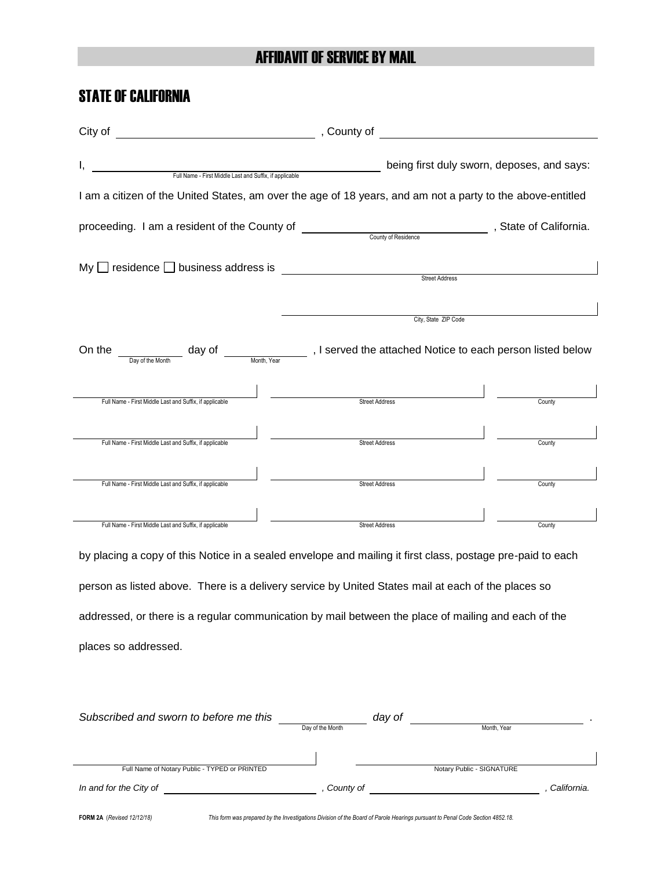#### AFFIDAVIT OF SERVICE BY MAIL

### STATE OF CALIFORNIA

| I,                                                                                                                                  |                       | being first duly sworn, deposes, and says: |
|-------------------------------------------------------------------------------------------------------------------------------------|-----------------------|--------------------------------------------|
|                                                                                                                                     |                       |                                            |
| I am a citizen of the United States, am over the age of 18 years, and am not a party to the above-entitled                          |                       |                                            |
|                                                                                                                                     |                       |                                            |
|                                                                                                                                     |                       |                                            |
| $My \Box$ residence $\Box$ business address is                                                                                      |                       |                                            |
|                                                                                                                                     | <b>Street Address</b> |                                            |
|                                                                                                                                     |                       |                                            |
|                                                                                                                                     | City, State ZIP Code  |                                            |
| On the <u>Day of the Month</u> day of <u>Continues and the section</u> and a served the attached Notice to each person listed below |                       |                                            |
| Full Name - First Middle Last and Suffix, if applicable                                                                             | Street Address        | County                                     |
|                                                                                                                                     |                       |                                            |
| Full Name - First Middle Last and Suffix, if applicable                                                                             | <b>Street Address</b> | County                                     |
|                                                                                                                                     |                       |                                            |
| Full Name - First Middle Last and Suffix, if applicable                                                                             | <b>Street Address</b> | County                                     |
|                                                                                                                                     |                       |                                            |
| Full Name - First Middle Last and Suffix, if applicable                                                                             | <b>Street Address</b> | County                                     |
|                                                                                                                                     |                       |                                            |
| by placing a copy of this Notice in a sealed envelope and mailing it first class, postage pre-paid to each                          |                       |                                            |

person as listed above. There is a delivery service by United States mail at each of the places so addressed, or there is a regular communication by mail between the place of mailing and each of the places so addressed.

|                  | day of |                           |             |
|------------------|--------|---------------------------|-------------|
| Day of the Month |        | Month, Year               |             |
|                  |        |                           |             |
|                  |        |                           |             |
|                  |        | Notary Public - SIGNATURE |             |
| County of        |        |                           | California. |
|                  |        |                           |             |
|                  |        |                           |             |

**FORM 2A** (*Revised 12/12/18) This form was prepared by the Investigations Division of the Board of Parole Hearings pursuant to Penal Code Section 4852.18.*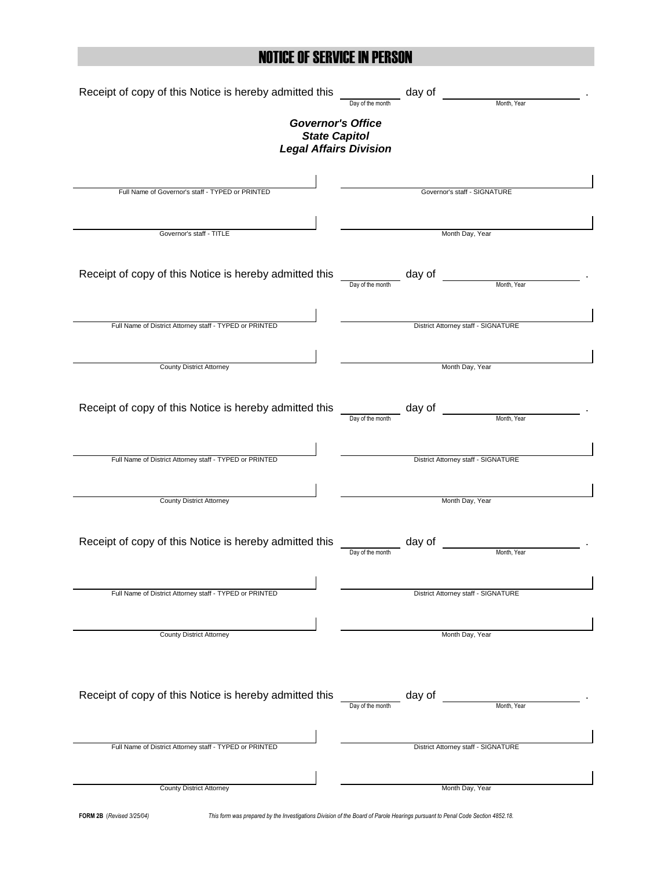## NOTICE OF SERVICE IN PERSON

| Receipt of copy of this Notice is hereby admitted this  | day of                                    |
|---------------------------------------------------------|-------------------------------------------|
|                                                         | Month, Year<br>Day of the month           |
| <b>Governor's Office</b>                                |                                           |
| <b>State Capitol</b><br><b>Legal Affairs Division</b>   |                                           |
|                                                         |                                           |
|                                                         |                                           |
| Full Name of Governor's staff - TYPED or PRINTED        | Governor's staff - SIGNATURE              |
|                                                         |                                           |
| Governor's staff - TITLE                                | Month Day, Year                           |
|                                                         |                                           |
|                                                         |                                           |
| Receipt of copy of this Notice is hereby admitted this  | day of<br>Month, Year<br>Day of the month |
|                                                         |                                           |
|                                                         |                                           |
| Full Name of District Attorney staff - TYPED or PRINTED | District Attorney staff - SIGNATURE       |
|                                                         |                                           |
| <b>County District Attorney</b>                         | Month Day, Year                           |
|                                                         |                                           |
|                                                         |                                           |
| Receipt of copy of this Notice is hereby admitted this  | day of<br>Month, Year<br>Day of the month |
|                                                         |                                           |
|                                                         |                                           |
| Full Name of District Attorney staff - TYPED or PRINTED | District Attorney staff - SIGNATURE       |
|                                                         |                                           |
| <b>County District Attorney</b>                         | Month Day, Year                           |
|                                                         |                                           |
| Receipt of copy of this Notice is hereby admitted this  | day of                                    |
|                                                         | Month, Year<br>Day of the month           |
|                                                         |                                           |
| Full Name of District Attorney staff - TYPED or PRINTED | District Attorney staff - SIGNATURE       |
|                                                         |                                           |
|                                                         |                                           |
| <b>County District Attorney</b>                         | Month Day, Year                           |
|                                                         |                                           |
|                                                         |                                           |
| Receipt of copy of this Notice is hereby admitted this  | day of                                    |
|                                                         | Month, Year<br>Day of the month           |
|                                                         |                                           |
| Full Name of District Attorney staff - TYPED or PRINTED | District Attorney staff - SIGNATURE       |
|                                                         |                                           |
|                                                         |                                           |
| <b>County District Attorney</b>                         | Month Day, Year                           |